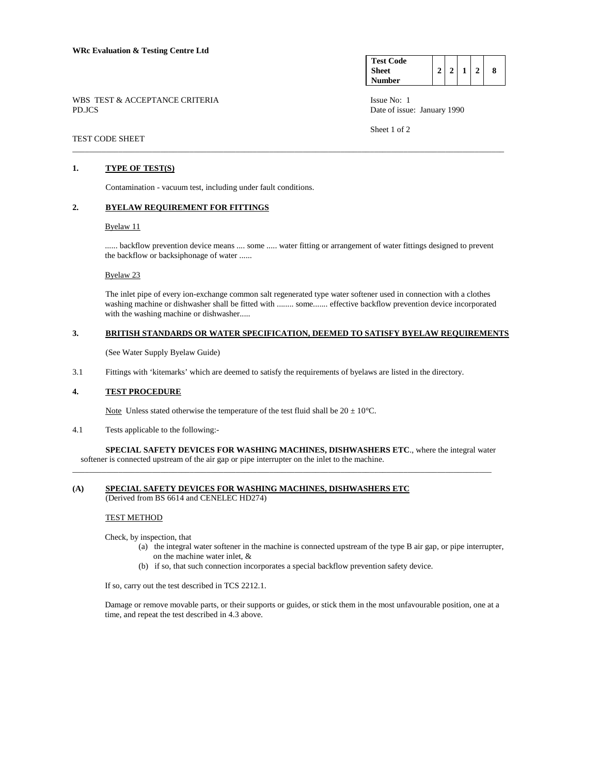| <b>Test Code</b> |  |  |   |
|------------------|--|--|---|
| <b>Sheet</b>     |  |  | 8 |
| Number           |  |  |   |

Sheet 1 of 2

WBS TEST & ACCEPTANCE CRITERIA ISSUE No: 1 PD.JCS Date of issue: January 1990

## \_\_\_\_\_\_\_\_\_\_\_\_\_\_\_\_\_\_\_\_\_\_\_\_\_\_\_\_\_\_\_\_\_\_\_\_\_\_\_\_\_\_\_\_\_\_\_\_\_\_\_\_\_\_\_\_\_\_\_\_\_\_\_\_\_\_\_\_\_\_\_\_\_\_\_\_\_\_\_\_\_\_\_\_\_\_\_\_\_\_\_\_\_\_\_\_\_\_\_\_\_\_\_

TEST CODE SHEET

# **1. TYPE OF TEST(S)**

Contamination - vacuum test, including under fault conditions.

## **2. BYELAW REQUIREMENT FOR FITTINGS**

#### Byelaw 11

...... backflow prevention device means .... some ..... water fitting or arrangement of water fittings designed to prevent the backflow or backsiphonage of water ......

## Byelaw 23

 The inlet pipe of every ion-exchange common salt regenerated type water softener used in connection with a clothes washing machine or dishwasher shall be fitted with ........ some....... effective backflow prevention device incorporated with the washing machine or dishwasher.....

### **3. BRITISH STANDARDS OR WATER SPECIFICATION, DEEMED TO SATISFY BYELAW REQUIREMENTS**

(See Water Supply Byelaw Guide)

3.1 Fittings with 'kitemarks' which are deemed to satisfy the requirements of byelaws are listed in the directory.

### **4. TEST PROCEDURE**

Note Unless stated otherwise the temperature of the test fluid shall be  $20 \pm 10^{\circ}$ C.

4.1 Tests applicable to the following:-

 **SPECIAL SAFETY DEVICES FOR WASHING MACHINES, DISHWASHERS ETC**., where the integral water softener is connected upstream of the air gap or pipe interrupter on the inlet to the machine. \_\_\_\_\_\_\_\_\_\_\_\_\_\_\_\_\_\_\_\_\_\_\_\_\_\_\_\_\_\_\_\_\_\_\_\_\_\_\_\_\_\_\_\_\_\_\_\_\_\_\_\_\_\_\_\_\_\_\_\_\_\_\_\_\_\_\_\_\_\_\_\_\_\_\_\_\_\_\_\_\_\_\_\_\_\_\_\_\_\_\_\_\_\_\_\_\_\_\_\_

# **(A) SPECIAL SAFETY DEVICES FOR WASHING MACHINES, DISHWASHERS ETC**

(Derived from BS 6614 and CENELEC HD274)

#### TEST METHOD

Check, by inspection, that

- (a) the integral water softener in the machine is connected upstream of the type B air gap, or pipe interrupter, on the machine water inlet, &
- (b) if so, that such connection incorporates a special backflow prevention safety device.

If so, carry out the test described in TCS 2212.1.

 Damage or remove movable parts, or their supports or guides, or stick them in the most unfavourable position, one at a time, and repeat the test described in 4.3 above.